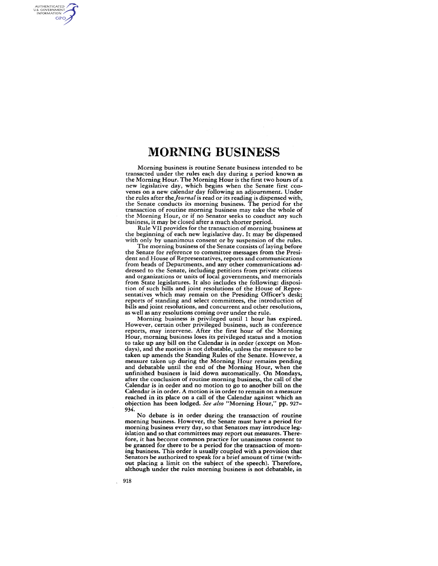Morning business is routine Senate business intended to be transacted under the rules each day during a period known as the Morning Hour. The Morning Hour is the first two hours of a new legislative day, which begins when the Senate first convenes on a new calendar day following an adjournment. Under the rules after *theJournal* is read or its reading is dispensed with, the Senate conducts its morning business. The period for the transaction of routine morning business may take the whole of the Morning Hour, or if no Senator seeks to conduct any such business, it may be closed after a much shorter period.

Rule VII provides for the transaction of morning business at the beginning of each new legislative day. It may be dispensed with only by unanimous consent or by suspension of the rules.

The morning business of the Senate consists of laying before the Senate for reference to committee messages from the President and House of Representatives, reports and communications from heads of Departments, and any other communications addressed to the Senate, including petitions from private citizens and organizations or units of local governments, and memorials from State legislatures. It also includes the following: disposition of such bills and joint resolutions of the House of Representatives which may remain on the Presiding Officer's desk; reports of standing and select committees, the introduction of bills and joint resolutions, and concurrent and other resolutions, as well as any resolutions coming over under the rule.

Morning business is privileged until 1 hour has expired. However, certain other privileged business, such as conference reports, may intervene. After the first hour of the Morning Hour, morning business loses its privileged status and a motion to take up any bill on the Calendar is in order (except on Mondays), and the motion is not debatable, unless the measure to be taken up amends the Standing Rules of the Senate. However, a measure taken up during the Morning Hour remains pending and debatable until the end of the Morning Hour, when the unfinished business is laid down automatically. On Mondays, after the conclusion of routine morning business, the call of the Calendar is in order and no motion to go to another bill on the Calendar is in order. A motion is in order to remain on a measure reached in its place on a call of the Calendar against which an objection has been lodged. *See also* "Morning Hour," pp. 927- 934.

No debate is in order during the transaction of routine morning business. However, the Senate must have a period for morning business every day, so that Senators may introduce legislation and so that committees may report out measures. Therefore, it has become common practice for unanimous consent to be granted for there to be a period for the transaction of morning business. This order is usually coupled with a provision that Senators be authorized to speak for a brief amount of time (without placing a limit on the subject of the speech). Therefore, although under the rules morning business is not debatable, in

918

AUTHENTICATED<br>U.S. GOVERNMENT<br>INFORMATION **GPO**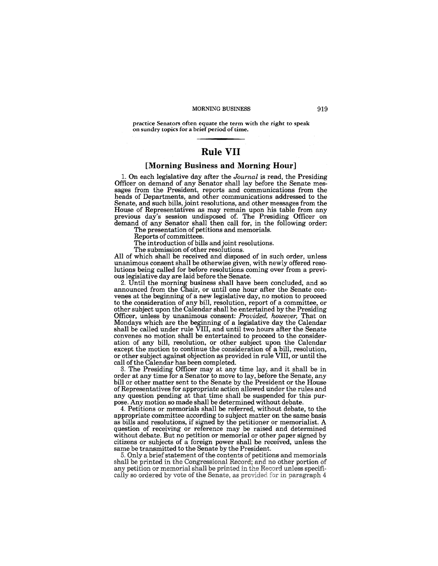practice Senators often equate the term with the right to speak on sundry topics for a brief period of time.

# **Rule VII**

#### [Morning Business and Morning Hour]

1. On each legislative day after the *Journal* is read, the Presiding Officer on demand of any Senator shall lay before the Senate messages from the President, reports and communications from the heads of Departments, and other communications addressed to the Senate, and such bills, joint resolutions, and other messages from the House of Representatives as may remain upon his table from any previous day's session undisposed of. The Presiding Officer on demand of any Senator shall then call for, in the following order:

The presentation of petitions and memorials.

Reports of committees.

The introduction of bills and joint resolutions.

The submission of other resolutions.

All of which shall be received and disposed of in such order, unless unanimous consent shall be otherwise given, with newly offered resolutions being called for before resolutions coming over from a previous legislative day are laid before the Senate.

2. Until the morning business shall have been concluded, and so announced from the Chair, or until one hour after the Senate convenes at the beginning of a new legislative day, no motion to proceed to the consideration of any bill, resolution, report of a committee, or other subject upon the Calendar shall be entertained by the Presiding Officer, unless by unanimous consent: *Provided, however,* That on Mondays which are the beginning of a legislative day the Calendar shall be called under rule VIII, and until two hours after the Senate convenes no motion shall be entertained to proceed to the consideration of any bill, resolution, or other subject upon the Calendar except the motion to continue the consideration of a bill, resolution, or other subject against objection as provided in rule VIII, or until the call of the Calendar has been completed.

3. The Presiding Officer may at any time lay, and it shall be in order at any time for a Senator to move to lay, before the Senate, any bill or other matter sent to the Senate by the President or the House of Representatives for appropriate action allowed under the rules and any question pending at that time shall be suspended for this purpose. Any motion so made shall be determined without debate.

4. Petitions or memorials shall be referred, without debate, to the appropriate committee according to subject matter on the same basis as bills and resolutions, if signed by the petitioner or memorialist. A question of receiving or reference may be raised and determined without debate. But no petition or memorial or other paper signed by citizens or subjects of a foreign power shall be received, unless the same be transmitted to the Senate by the President.

5. Only a brief statement of the contents of petitions and memorials shall be printed in the Congressional Record; and no other portion of any petition or memorial shall be printed in the Record unless specifically so ordered by vote of the Senate, as provided for in paragraph 4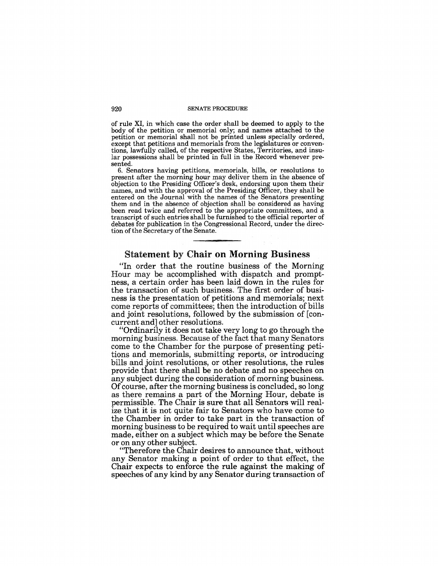#### 920 SENATE PROCEDURE

of rule XI, in which case the order shall be deemed to apply to the body of the petition or memorial only; and names attached to the petition or memorial shall not be printed unless specially ordered, except that petitions and memorials from the legislatures or conventions, lawfully called, of the respective States, Territories, and insular possessions shall be printed in full in the Record whenever presented.

6. Senators having petitions, memorials, bills, or resolutions to present after the morning hour may deliver them in the absence of objection to the Presiding Officer's desk, endorsing upon them their names, and with the approval of the Presiding Officer, they shall be entered on the Journal with the names of the Senators presenting them and in the absence of objection shall be considered as having been read twice and referred to the appropriate committees, and a transcript of such entries shall be furnished to the official reporter of debates for publication in the Congressional Record, under the direction of the Secretary of the Senate.

# Statement by Chair on Morning Business

"In order that the routine business of the Morning Hour may be accomplished with dispatch and promptness, a certain order has been laid down in the rules for the transaction of such business. The first order of business is the presentation of petitions and memorials; next come reports of committees; then the introduction of bills and joint resolutions, followed by the submission of [concurrent and] other resolutions.

"Ordinarily it does not take very long to go through the morning business. Because of the fact that many Senators come to the Chamber for the purpose of presenting petitions and memorials, submitting reports, or introducing bills and joint resolutions, or other resolutions, the rules provide that there shall be no debate and no speeches on any subject during the consideration of morning business. Of course, after the morning business is concluded, so long as there remains a part of the Morning Hour, debate is permissible. The Chair is sure that all Senators will realize that it is not quite fair to Senators who have come to the Chamber in order to take part in the transaction of morning business to be required to wait until speeches are made, either on a subject which may be before the Senate or on any other subject.

"Therefore the Chair desires to announce that, without any Senator making a point of order to that effect, the Chair expects to enforce the rule against the making of speeches of any kind by any Senator during transaction of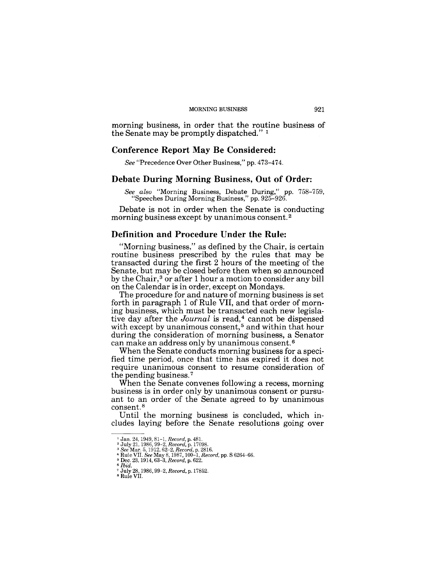morning business, in order that the routine business of the Senate may be promptly dispatched." 1

### Conference Report May Be Considered:

*See* "Precedence Over Other Business," pp. 473-474.

#### Debate During Morning Business, Out of Order:

*See also* "Morning Business, Debate During," pp. 758-759, "Speeches During Morning Business," pp. 925-926.

Debate is not in order when the Senate is conducting morning business except by unanimous consent. 2

#### Definition and Procedure Under the Rule:

"Morning business," as defined by the Chair, is certain routine business prescribed by the rules that may be transacted during the first 2 hours of the meeting of the Senate, but may be closed before then when so announced by the Chair,<sup>3</sup> or after 1 hour a motion to consider any bill on the Calendar is in order, except on Mondays.

The procedure for and nature of morning business is set forth in paragraph 1 of Rule VII, and that order of morning business, which must be transacted each new legislative day after the *Journal* is read,<sup>4</sup> cannot be dispensed with except by unanimous consent,<sup>5</sup> and within that hour during the consideration of morning business, a Senator can make an address only by unanimous consent. 6

When the Senate conducts morning business for a specified time period, once that time has expired it does not require unanimous consent to resume consideration of the pending business. 7

When the Senate convenes following a recess, morning business is in order only by unanimous consent or pursuant to an order of the Senate agreed to by unanimous consent. <sup>8</sup>

Until the morning business is concluded, which includes laying before the Senate resolutions going over

<sup>1</sup> Jan. 24, 1949,81-1, *Record,* p. 48l. <sup>2</sup>July 21, 1986,99-2, *Record,* p. 17098. *3 See* Mar. 5, 1912, 62-2, *Record,* p. 2816.

<sup>4</sup>Rule VII. *See* May 8,1987,100-1, *Record,* pp. S 6264-66. 5 Dec. 23, 1914, 63-3, *Record,* p. 622. *6 Ibid.* 

<sup>7</sup> July 28, 1986, 99-2, *Record,* p.17852. 8 Rule VII.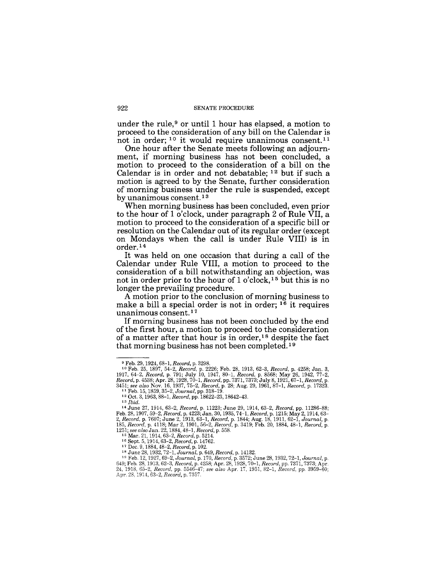under the rule,<sup>9</sup> or until 1 hour has elapsed, a motion to proceed to the consideration of any bill on the Calendar is not in order; <sup>10</sup> it would require unanimous consent.<sup>11</sup>

One hour after the Senate meets following an adjournment, if morning business has not been concluded, a motion to proceed to the consideration of a bill on the Calendar is in order and not debatable; 12 but if such a motion is agreed to by the Senate, further consideration of morning business under the rule is suspended, except by unanimous consent.<sup>13</sup>

When morning business has been concluded, even prior to the hour of 1 o'clock, under paragraph 2 of Rule VII, a motion to proceed to the consideration of a specific bill or resolution on the Calendar out of its regular order (except on Mondays when the call is under Rule VIII) is in order. 14

It was held on one occasion that during a call of the Calendar under Rule VIII, a motion to proceed to the consideration of a bill notwithstanding an objection, was not in order prior to the hour of 1 o'clock, 15 but this is no longer the prevailing procedure.

A motion prior to the conclusion of morning business to make a bill a special order is not in order;  $1<sup>6</sup>$  it requires unanimous consent.<sup>17</sup>

If morning business has not been concluded by the end of the first hour, a motion to proceed to the consideration of a matter after that hour is in order,18 despite the fact that morning business has not been completed. 19

<sup>9</sup> Feb. 29, 1924, 68-1, *Record,* p. 3298.

<sup>&</sup>lt;sup>10</sup> Feb. 25, 1897, 54-2, *Record*, p. 2226; Feb. 28, 1913, 62-3, *Record*, p. 4258; Jan. 3, 1917, 64-2, *Record*, p. 791; July 10, 1947, 80-1, *Record*, p. 8568; May 26, 1942, 77-2, *Record*, p. 4538; Apr. 28, 1928, 70-1, *3451; see also* Nov. 16, 1937,75-2, *Record,* p. 28; Aug. 29, 1961,87-1, *Record,* p. 17323. 11 Feb. 15, 1859, 35-2, *Journal,* pp. 318-19.

<sup>12</sup> Oct. 3, 1963, 88-1, *Record,* pp. 18622-23, 18642-43. 13 *Ibid.* 

<sup>&</sup>lt;sup>14</sup> June 27, 1914, 63–2, *Record*, p. 11223; June 29, 1914, 63–2, *Record*, pp. 11286–88;<br>Feb. 28, 1907, 59–2, *Record*, p. 4223; Jan. 30, 1935, 74–1, *Record*, p. 1215; May 2, 1914, 63–2, *Record*, p. 7607; June 2, 1913,

*<sup>1251;</sup> see also* Jan. 22, 1884, 48-1, *Record,* p. 558. 15 Mar. 21, 1914, 63-2, *Record,* p. 5214. 16 Sept. 5, 1914,63-2, *Record,* p. 14762.

<sup>&</sup>lt;sup>17</sup> Dec. 9, 1884, 48–2, *Record*, p. 102.<br><sup>18</sup> June 28, 1932, 72–1, Journal, p. 649, *Record*, p. 14132.<br><sup>19</sup> Feb. 12, 1927, 69–2, Journal, p. 170, *Record*, p. 3572; June 28, 1932, 72–1, Journal, p.<br><sup>19</sup> Feb. 28, 1913, 6 24, 1918, 65-2, *Record,* pp. 5546-47; *see also* Apr. 17, 1951, 82-1, *Record,* pp. 3959-60; Apr. 28, 1914.63-2, *Record,* p. 7357.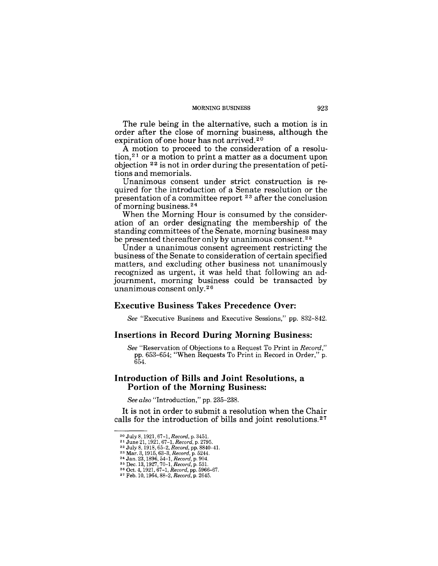The rule being in the alternative, such a motion is in order after the close of morning business, although the expiration of one hour has not arrived. 20

A motion to proceed to the consideration of a resolution,<sup>21</sup> or a motion to print a matter as a document upon objection 22 is not in order during the presentation of petitions and memorials.

Unanimous consent under strict construction is required for the introduction of a Senate resolution or the presentation of a committee report  $23$  after the conclusion of morning business. 24

When the Morning Hour is consumed by the consideration of an order designating the membership of the standing committees of the Senate, morning business may be presented thereafter only by unanimous consent.<sup>25</sup>

Under a unanimous consent agreement restricting the business of the Senate to consideration of certain specified matters, and excluding other business not unanimously recognized as urgent, it was held that following an adjournment, morning business could be transacted by unanimous consent only.26

#### Executive Business Takes Precedence Over:

*See* "Executive Business and Executive Sessions," pp. 832-842.

#### Insertions in Record During Morning Business:

*See* "Reservation of Objections to a Request To Print in *Record,"*  pp. 653-654; "When Requests To Print in Record in Order," p. 654.

# Introduction of Bills and Joint Resolutions, a Portion of the Morning Business:

*See also* "Introduction," pp. 235-238.

It is not in order to submit a resolution when the Chair calls for the introduction of bills and joint resolutions. 27

<sup>&</sup>lt;sup>20</sup> July 8, 1921, 67-1, *Record*, p. 3451.<br><sup>21</sup> June 21, 1921, 67-1, *Record*, p. 2795.<br><sup>22</sup> July 8, 1918, 65-2, *Record*, pp. 8840-41.<br><sup>23</sup> Mar. 3, 1915, 63-3, *Record*, p. 5244.<br><sup>24</sup> Jan. 23, 1896, 54-1, *Record*, p. 50

<sup>27</sup> Feb. 10, 1964,88-2, *Record,* p. 2645.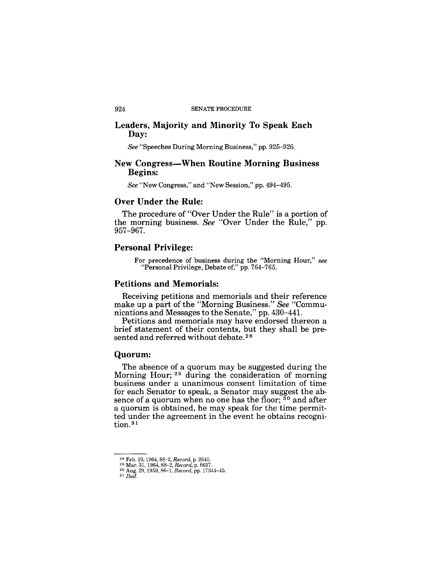### Leaders, Majority and Minority To Speak Each Day:

*See* "Speeches During Morning Business," pp. 925-926.

### New Congress—When Routine Morning Business Begins:

*See* "New Congress," and "New Session," pp. 494-495.

### Over Under the Rule:

The procedure of "Over Under the Rule" is a portion of the morning business. *See* "Over Under the Rule," pp. 957-967.

### Personal Privilege:

For precedence of business during the "Morning Hour," *see*  "Personal Privilege, Debate of," pp. 764-765.

# Petitions and Memorials:

Receiving petitions and memorials and their reference make up a part of the "Morning Business." *See* "Communications and Messages to the Senate," pp. 430-44l.

Petitions and memorials may have endorsed thereon a brief statement of their contents, but they shall be presented and referred without debate.<sup>28</sup>

#### Quorum:

The absence of a quorum may be suggested during the Morning Hour; 29 during the consideration of morning business under a unanimous consent limitation of time for each Senator to speak, a Senator may suggest the absence of a quorum when no one has the floor;  $30$  and after a quorum is obtained, he may speak for the time permitted under the agreement in the event he obtains recognition.<sup>31</sup>

<sup>&</sup>lt;sup>28</sup> Feb. 10, 1964, 88-2, *Record*, p. 2645.<br><sup>29</sup> Mar. 31, 1964, 88-2, *Record*, p. 6637.<br><sup>30</sup> Aug. 29, 1959, 86-1, *Record*, pp. 17344-45.<br><sup>31</sup> *Ibid.*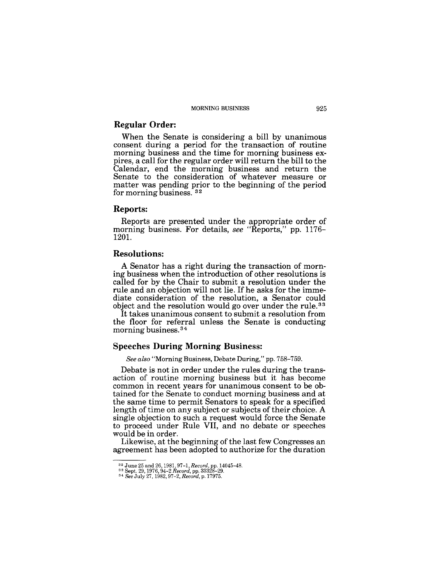#### **Regular Order:**

When the Senate is considering a bill by unanimous consent during a period for the transaction of routine morning business and the time for morning business expires, a call for the regular order will return the bill to the Calendar, end the morning business and return the Senate to the consideration of whatever measure or matter was pending prior to the beginning of the period for morning business. <sup>32</sup>

#### **Reports:**

Reports are presented under the appropriate order of morning business. For details, *see* "Reports," pp. 1176-1201.

#### **Resolutions:**

A Senator has a right during the transaction of morning business when the introduction of other resolutions is called for by the Chair to submit a resolution under the rule and an objection will not lie. If he asks for the immediate consideration of the resolution, a Senator could object and the resolution would go over under the rule. <sup>33</sup>

It takes unanimous consent to submit a resolution from the floor for referral unless the Senate is conducting morning business. 34

# **Speeches During Morning Business:**

*See also* "Morning Business, Debate During," pp. 758-759.

Debate is not in order under the rules during the transaction of routine morning business but it has become common in recent years for unanimous consent to be obtained for the Senate to conduct morning business and at the same time to permit Senators to speak for a specified length of time on any subject or subjects of their choice. A single objection to such a request would force the Senate to proceed under Rule VII, and no debate or speeches would be in order.

Likewise, at the beginning of the last few Congresses an agreement has been adopted to authorize for the duration

<sup>32</sup> June 25 and 26, 1981, 97-1, *Record,* pp. 14045-48. 33 Sept. 29, 1976,94-2 *Record,* pp. 33328-29. 34 *See* July 27,1982,97-2, *Record,* p.17975.